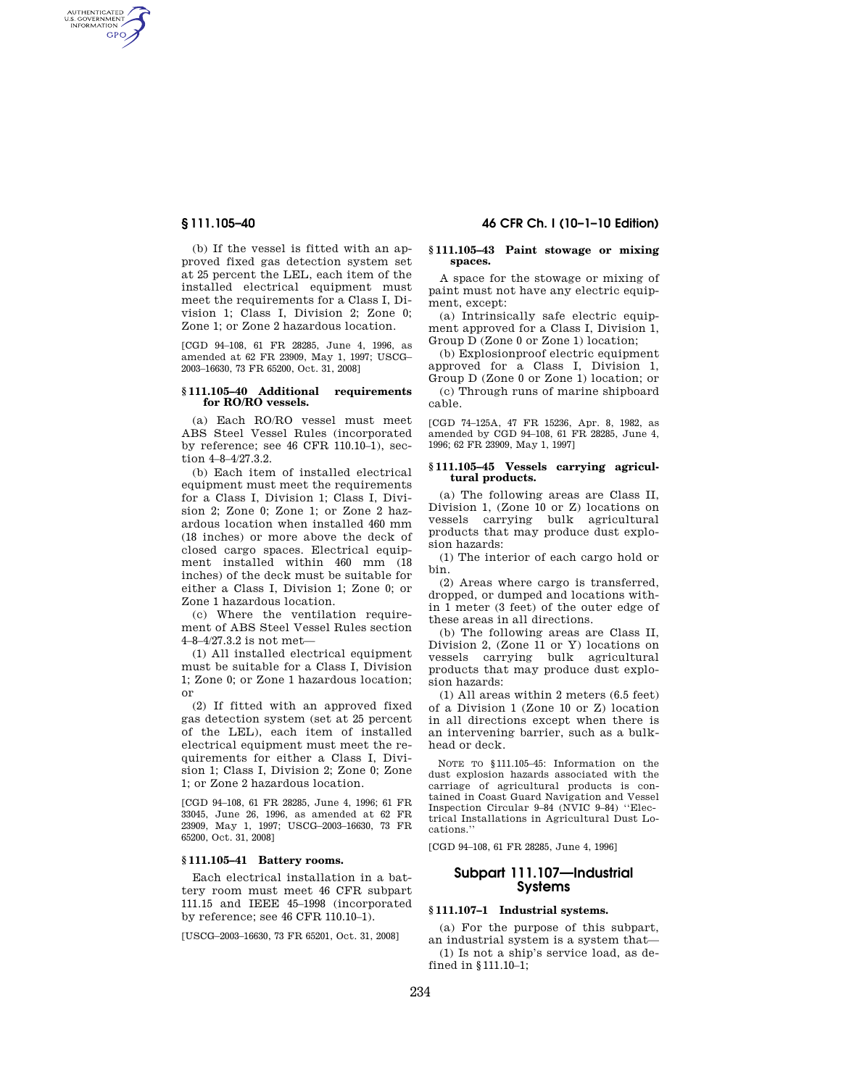AUTHENTICATED<br>U.S. GOVERNMENT<br>INFORMATION GPO

> (b) If the vessel is fitted with an approved fixed gas detection system set at 25 percent the LEL, each item of the installed electrical equipment must meet the requirements for a Class I, Division 1; Class I, Division 2; Zone 0; Zone 1; or Zone 2 hazardous location.

> [CGD 94–108, 61 FR 28285, June 4, 1996, as amended at 62 FR 23909, May 1, 1997; USCG– 2003–16630, 73 FR 65200, Oct. 31, 2008]

### **§ 111.105–40 Additional requirements for RO/RO vessels.**

(a) Each RO/RO vessel must meet ABS Steel Vessel Rules (incorporated by reference; see 46 CFR 110.10–1), section 4–8–4/27.3.2.

(b) Each item of installed electrical equipment must meet the requirements for a Class I, Division 1; Class I, Division 2; Zone 0; Zone 1; or Zone 2 hazardous location when installed 460 mm (18 inches) or more above the deck of closed cargo spaces. Electrical equipment installed within 460 mm (18 inches) of the deck must be suitable for either a Class I, Division 1; Zone 0; or Zone 1 hazardous location.

(c) Where the ventilation requirement of ABS Steel Vessel Rules section 4–8–4/27.3.2 is not met—

(1) All installed electrical equipment must be suitable for a Class I, Division 1; Zone 0; or Zone 1 hazardous location; or

(2) If fitted with an approved fixed gas detection system (set at 25 percent of the LEL), each item of installed electrical equipment must meet the requirements for either a Class I, Division 1; Class I, Division 2; Zone 0; Zone 1; or Zone 2 hazardous location.

[CGD 94–108, 61 FR 28285, June 4, 1996; 61 FR 33045, June 26, 1996, as amended at 62 FR 23909, May 1, 1997; USCG–2003–16630, 73 FR 65200, Oct. 31, 2008]

### **§ 111.105–41 Battery rooms.**

Each electrical installation in a battery room must meet 46 CFR subpart 111.15 and IEEE 45–1998 (incorporated by reference; see 46 CFR 110.10–1).

[USCG–2003–16630, 73 FR 65201, Oct. 31, 2008]

# **§ 111.105–40 46 CFR Ch. I (10–1–10 Edition)**

#### **§ 111.105–43 Paint stowage or mixing spaces.**

A space for the stowage or mixing of paint must not have any electric equipment, except:

(a) Intrinsically safe electric equipment approved for a Class I, Division 1, Group D (Zone 0 or Zone 1) location;

(b) Explosionproof electric equipment approved for a Class I, Division 1, Group D (Zone 0 or Zone 1) location; or

(c) Through runs of marine shipboard cable.

[CGD 74–125A, 47 FR 15236, Apr. 8, 1982, as amended by CGD 94–108, 61 FR 28285, June 4, 1996; 62 FR 23909, May 1, 1997]

#### **§ 111.105–45 Vessels carrying agricultural products.**

(a) The following areas are Class II, Division 1, (Zone 10 or Z) locations on vessels carrying bulk agricultural products that may produce dust explosion hazards:

(1) The interior of each cargo hold or bin.

(2) Areas where cargo is transferred, dropped, or dumped and locations within 1 meter (3 feet) of the outer edge of these areas in all directions.

(b) The following areas are Class II, Division 2, (Zone 11 or Y) locations on vessels carrying bulk agricultural products that may produce dust explosion hazards:

(1) All areas within 2 meters (6.5 feet) of a Division 1 (Zone 10 or Z) location in all directions except when there is an intervening barrier, such as a bulkhead or deck.

NOTE TO §111.105–45: Information on the dust explosion hazards associated with the carriage of agricultural products is contained in Coast Guard Navigation and Vessel Inspection Circular 9–84 (NVIC 9–84) ''Electrical Installations in Agricultural Dust Locations.''

[CGD 94–108, 61 FR 28285, June 4, 1996]

# **Subpart 111.107—Industrial Systems**

# **§ 111.107–1 Industrial systems.**

(a) For the purpose of this subpart, an industrial system is a system that— (1) Is not a ship's service load, as defined in §111.10–1;